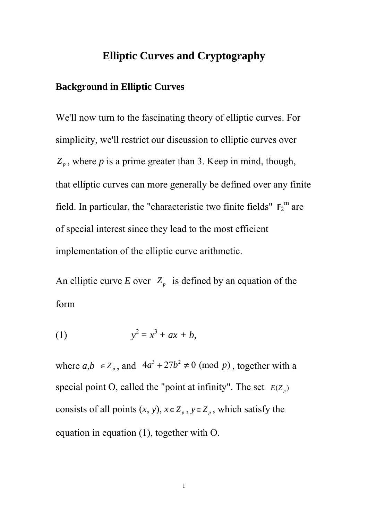### **Elliptic Curves and Cryptography**

### **Background in Elliptic Curves**

We'll now turn to the fascinating theory of elliptic curves. For simplicity, we'll restrict our discussion to elliptic curves over  $Z_p$ , where *p* is a prime greater than 3. Keep in mind, though, that elliptic curves can more generally be defined over any finite field. In particular, the "characteristic two finite fields"  $\mathbb{F}_2^m$  are of special interest since they lead to the most efficient implementation of the elliptic curve arithmetic.

An elliptic curve *E* over  $Z_p$  is defined by an equation of the form

(1) 
$$
y^2 = x^3 + ax + b,
$$

where  $a,b \in Z_p$ , and  $4a^3 + 27b^2 \neq 0 \pmod{p}$ , together with a special point O, called the "point at infinity". The set  $E(Z_p)$ consists of all points  $(x, y)$ ,  $x \in Z_p$ ,  $y \in Z_p$ , which satisfy the equation in equation (1), together with O.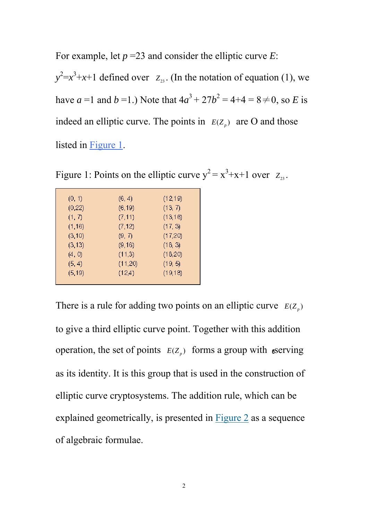For example, let *p* =23 and consider the elliptic curve *E*:  $y^2 = x^3 + x + 1$  defined over *Z*<sub>23</sub>. (In the notation of equation (1), we have *a* =1 and *b* =1.) Note that  $4a^3 + 27b^2 = 4+4 = 8 \ne 0$ , so *E* is indeed an elliptic curve. The points in  $E(Z_p)$  are O and those listed in Figure 1.

Figure 1: Points on the elliptic curve  $y^2 = x^3 + x + 1$  over  $z_{23}$ .

| (0, 1)  | (6, 4)  | (12,19)  |
|---------|---------|----------|
| (0, 22) | (6, 19) | (13, 7)  |
| (1, 7)  | (7, 11) | (13, 16) |
| (1,16)  | (7, 12) | (17, 3)  |
| (3,10)  | (9, 7)  | (17,20)  |
| (3, 13) | (9,16)  | (18, 3)  |
| (4, 0)  | (11,3)  | (18,20)  |
| (5, 4)  | (11,20) | (19, 5)  |
| (5, 19) | (12,4)  | (19, 18) |
|         |         |          |

There is a rule for adding two points on an elliptic curve  $E(Z_p)$ to give a third elliptic curve point. Together with this addition operation, the set of points  $E(Z_p)$  forms a group with serving as its identity. It is this group that is used in the construction of elliptic curve cryptosystems. The addition rule, which can be explained geometrically, is presented in Figure 2 as a sequence of algebraic formulae.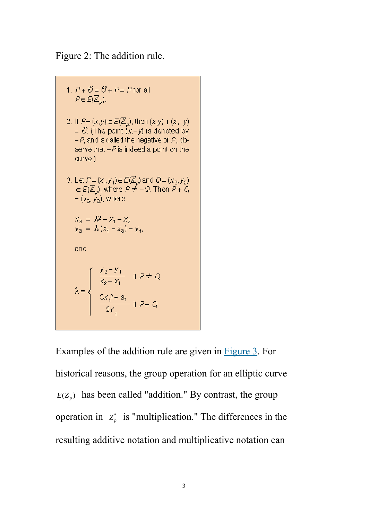Figure 2: The addition rule.

1. 
$$
P + \mathcal{O} = \mathcal{O} + P = P
$$
 for all  
\n $P \in E(\mathbb{Z}_p)$ .  
\n2. If  $P = (x,y) \in E(\mathbb{Z}_p)$ , then  $(x,y) + (x-y) = \mathcal{O}$ . (The point  $(x,-y)$  is denoted by  
\n $-P$ , and is called the negative of  $P$ ; observe that  $-P$  is indeed a point on the  
\ncurve.)  
\n3. Let  $P = (x_1, y_1) \in E(\mathbb{Z}_p)$  and  $Q = (x_2, y_2)$   
\n $\in E(\mathbb{Z}_p)$ , where  $P \neq -Q$ . Then  $P + Q$   
\n $= (x_3, y_3)$ , where  
\n $x_3 = \lambda^2 - x_1 - x_2$   
\n $y_3 = \lambda (x_1 - x_3) - y_1$ ,  
\nand  
\n $\lambda = \begin{cases} \frac{y_2 - y_1}{x_2 - x_1} & \text{if } P \neq Q \\ \frac{3x_1^2 + a_1}{2y_1} & \text{if } P = Q \end{cases}$ 

Examples of the addition rule are given in Figure 3. For historical reasons, the group operation for an elliptic curve  $E(Z_p)$  has been called "addition." By contrast, the group operation in  $Z_p^*$  is "multiplication." The differences in the resulting additive notation and multiplicative notation can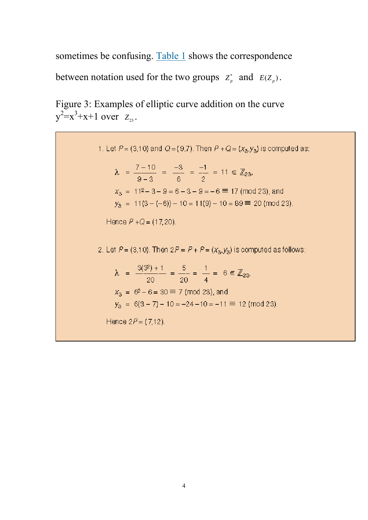sometimes be confusing. Table 1 shows the correspondence between notation used for the two groups  $Z_p^*$  and  $E(Z_p)$ .

Figure 3: Examples of elliptic curve addition on the curve  $y^2 = x^3 + x + 1$  over  $Z_{23}$ .

> 1. Let  $P = (3, 10)$  and  $Q = (9, 7)$ . Then  $P + Q = (x_3, y_3)$  is computed as:  $\lambda = \frac{7-10}{9-3} = \frac{-3}{6} = \frac{-1}{2} = 11 \in \mathbb{Z}_{23}$  $x_3 = 11^2 - 3 - 9 = 6 - 3 - 9 = -6 \equiv 17 \pmod{23}$ , and  $y_3 = 11(3 - (-6)) - 10 = 11(9) - 10 = 89 \equiv 20 \pmod{23}.$ Hence  $P + Q = (17, 20)$ . 2. Let  $P = (3,10)$ . Then  $2P = P + P = (x_3, y_3)$  is computed as follows:  $\lambda = \frac{3(3^2) + 1}{20} = \frac{5}{20} = \frac{1}{4} = 6 \in \mathbb{Z}_{23}$  $x_3 = 6^2 - 6 = 30 \equiv 7 \pmod{23}$ , and  $y_3 = 6(3-7) - 10 = -24 - 10 = -11 \equiv 12 \pmod{23}$ . Hence  $2P = (7, 12)$ .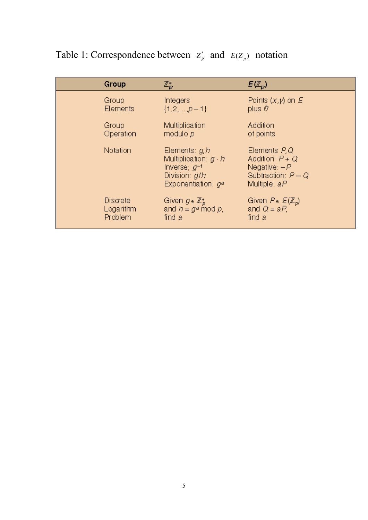| Group     | $\mathbb{Z}_{{\bf D}}^*$                                                                                       | $E(\mathbb{Z}_p)$                                                                              |
|-----------|----------------------------------------------------------------------------------------------------------------|------------------------------------------------------------------------------------------------|
| Group     | Integers                                                                                                       | Points $(x, y)$ on E                                                                           |
| Elements  | $\{1, 2, , p-1\}$                                                                                              | plus $\mathcal O$                                                                              |
| Group     | Multiplication                                                                                                 | Addition                                                                                       |
| Operation | modulo p                                                                                                       | of points                                                                                      |
| Notation  | Elements: $g, h$<br>Multiplication: $g \cdot h$<br>Inverse; $g^{-1}$<br>Division: g/h<br>Exponentiation: $q^*$ | Elements P, Q<br>Addition: $P + Q$<br>Negative: $-P$<br>Subtraction: $P - Q$<br>Multiple: $aP$ |
| Discrete  | Given $g \in \mathbb{Z}_p^*$                                                                                   | Given $P \in E(\mathbb{Z}_p)$                                                                  |
| Logarithm | and $h = g^* \mod p$ .                                                                                         | and $Q = aP$ ,                                                                                 |
| Problem   | find a                                                                                                         | find a                                                                                         |

# Table 1: Correspondence between  $z_r^*$  and  $E(Z_p)$  notation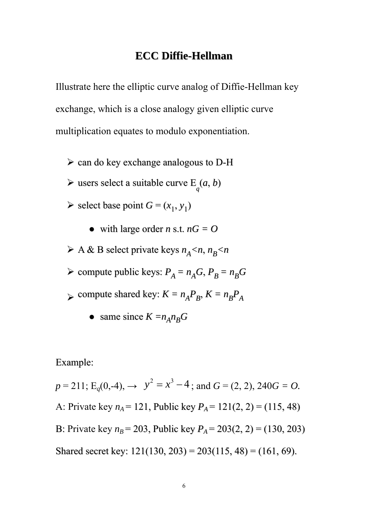### **ECC Diffie-Hellman**

Illustrate here the elliptic curve analog of Diffie-Hellman key exchange, which is a close analogy given elliptic curve multiplication equates to modulo exponentiation.

- $\geq$  can do key exchange analogous to D-H
- $\triangleright$  users select a suitable curve  $E_q(a, b)$
- $\triangleright$  select base point  $G = (x_1, y_1)$ 
	- $\bullet$  with large order *n* s.t.  $nG = O$
- $\triangleright$  A & B select private keys  $n_A < n$ ,  $n_B < n$
- $\triangleright$  compute public keys:  $P_A = n_A G$ ,  $P_B = n_B G$
- $\triangleright$  compute shared key:  $K = n_A P_B$ ,  $K = n_B P_A$ 
	- same since  $K = n_A n_B G$

Example:

 $p = 211$ ; E<sub>q</sub>(0,-4),  $\rightarrow$   $y^2 = x^3 - 4$ ; and  $G = (2, 2)$ , 240 $G = O$ . A: Private key  $n_A = 121$ , Public key  $P_A = 121(2, 2) = (115, 48)$ B: Private key  $n_B = 203$ , Public key  $P_A = 203(2, 2) = (130, 203)$ Shared secret key:  $121(130, 203) = 203(115, 48) = (161, 69)$ .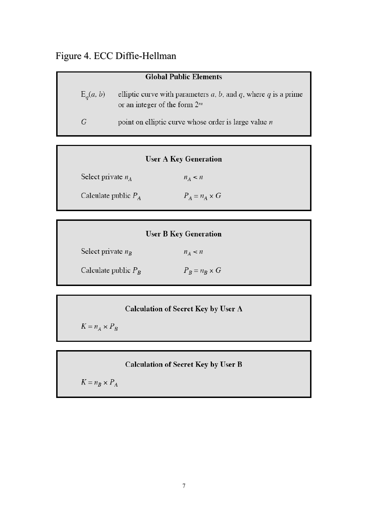## Figure 4. ECC Diffie-Hellman

| <b>Global Public Elements</b> |                                                                                                           |  |
|-------------------------------|-----------------------------------------------------------------------------------------------------------|--|
| $E_a(a, b)$                   | elliptic curve with parameters $a, b$ , and $q$ , where $q$ is a prime<br>or an integer of the form $2^m$ |  |
| G                             | point on elliptic curve whose order is large value $n$                                                    |  |

|  | <b>User A Key Generation</b> |
|--|------------------------------|
|--|------------------------------|

Select private  $n_A$  $n_A < n$ 

 $P_A = n_A \times G$ Calculate public  $P_A$ 

Select private  $n_B$  $n_A < n$  $P_B = n_B \times G$ Calculate public  $P_B$ 

### **Calculation of Secret Key by User A**

 $K = n_A \times P_B$ 

### **Calculation of Secret Key by User B**

 $K=n_B\times P_A$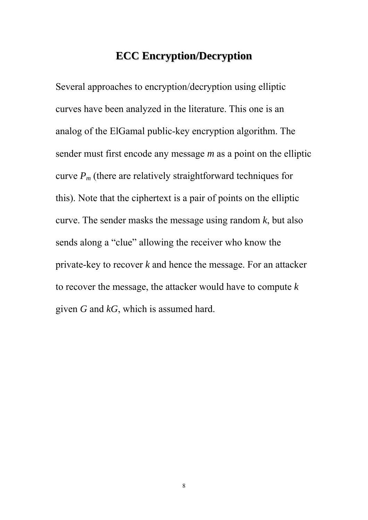### **ECC Encryption/Decryption**

Several approaches to encryption/decryption using elliptic curves have been analyzed in the literature. This one is an analog of the ElGamal public-key encryption algorithm. The sender must first encode any message *m* as a point on the elliptic curve  $P_m$  (there are relatively straightforward techniques for this). Note that the ciphertext is a pair of points on the elliptic curve. The sender masks the message using random *k*, but also sends along a "clue" allowing the receiver who know the private-key to recover *k* and hence the message. For an attacker to recover the message, the attacker would have to compute *k* given *G* and *kG*, which is assumed hard.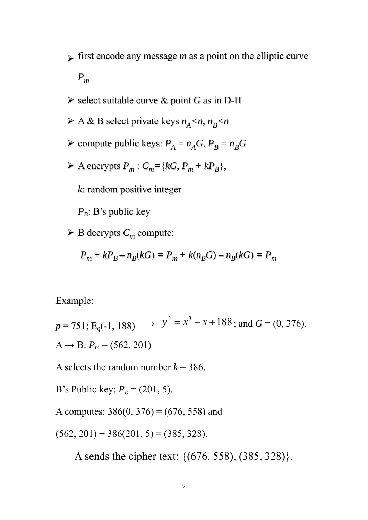- $\sum$  first encode any message *m* as a point on the elliptic curve *Pm*
- ¾ select suitable curve & point *G* as in D-H
- $\triangleright$  A & B select private keys  $n_A < n$ ,  $n_B < n$
- $\triangleright$  compute public keys:  $P_A = n_A G$ ,  $P_B = n_B G$
- $\triangleright$  A encrypts  $P_m$ :  $C_m = \{kG, P_m + kP_B\},\$

*k*: random positive integer

 $P_B$ : B's public key

 $\triangleright$  B decrypts  $C_m$  compute:

$$
P_m + kP_B - n_B(kG) = P_m + k(n_B G) - n_B(kG) = P_m
$$

Example:

 $p = 751$ ; E<sub>q</sub>(-1, 188)  $\rightarrow y^2 = x^3 - x + 188$ ; and  $G = (0, 376)$ .  $A \rightarrow B$ :  $P_m = (562, 201)$ 

A selects the random number  $k = 386$ .

B's Public key:  $P_B = (201, 5)$ .

A computes:  $386(0, 376) = (676, 558)$  and

 $(562, 201) + 386(201, 5) = (385, 328).$ 

A sends the cipher text: {(676, 558), (385, 328)}.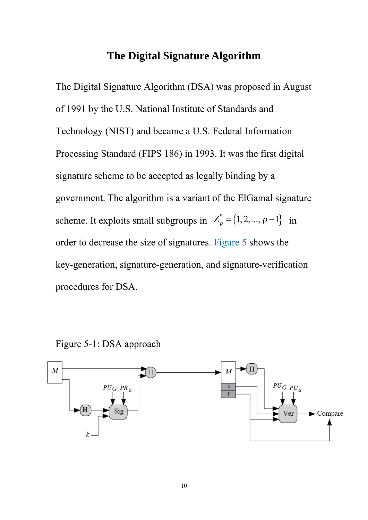### **The Digital Signature Algorithm**

The Digital Signature Algorithm (DSA) was proposed in August of 1991 by the U.S. National Institute of Standards and Technology (NIST) and became a U.S. Federal Information Processing Standard (FIPS 186) in 1993. It was the first digital signature scheme to be accepted as legally binding by a government. The algorithm is a variant of the ElGamal signature scheme. It exploits small subgroups in  $Z_p^* = \{1, 2, ..., p-1\}$  in order to decrease the size of signatures. Figure 5 shows the key-generation, signature-generation, and signature-verification procedures for DSA.

Figure 5-1: DSA approach

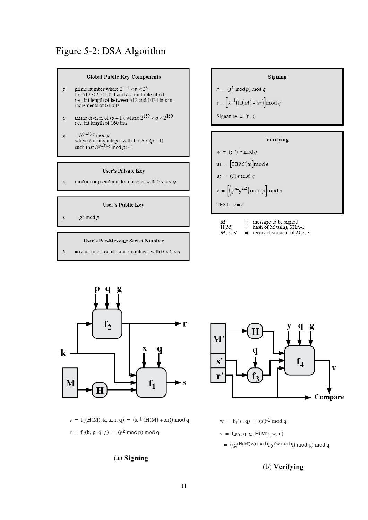### Figure 5-2: DSA Algorithm



- prime number where  $2^{L-1} < p < 2^L$ <br>for  $512 \le L \le 1024$  and L a multiple of 64<br>i.e., bit length of between 512 and 1024 bits in  $\overline{p}$ increments of 64 bits
- prime divisor of  $(p-1)$ , where  $2^{159} < q < 2^{160}$ <br>i.e., bit length of 160 bits  $q$
- $= h^{(p-1)/q} \bmod p$  where  $h$  is any integer with<br>  $1 < h < (p-1)$  $\mathcal{S}$ such that  $h^{(p-1)/q} \mod p > 1$

#### **User's Private Key**

random or pseudorandom integer with  $0 < x < q$  $\overline{x}$ 

#### **User's Public Key**

 $= g^x \mod p$  $\mathcal{V}$ 

#### User's Per-Message Secret Number

= random or pseudorandom integer with  $0 < k < q$ 

# Signing  $r = (g^k \mod p) \mod q$  $s = \left[k^{-1}(H(M) + xr)\right] \mod q$ Signature =  $(r, s)$



| M       |     | message to be signed            |
|---------|-----|---------------------------------|
| H(M)    | $=$ | hash of M using SHA-1           |
| M, r, s | $=$ | received versions of $M$ , r, s |



 $s = f_1(H(M), k, x, r, q) = (k^{-1} (H(M) + xr)) \mod q$  $r = f_2(k, p, q, g) = (g^k \mod p) \mod q$ 

#### $(a)$  Signing



 $w = f_3(s', q) = (s')^{-1} \mod q$  $v = f_4(y, q, g, H(M'), w, r')$ 

 $= ((g(H(M)w) mod q yr'w mod q) mod p) mod q)$ 

#### (b) Verifying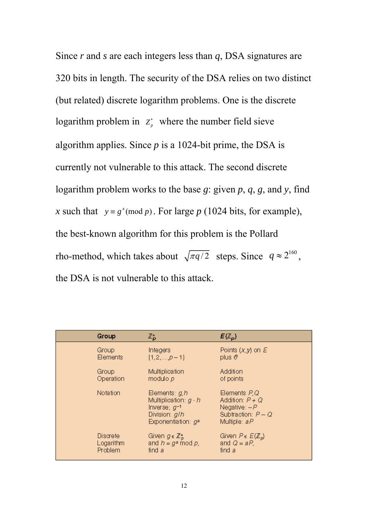Since *r* and *s* are each integers less than *q*, DSA signatures are 320 bits in length. The security of the DSA relies on two distinct (but related) discrete logarithm problems. One is the discrete logarithm problem in  $Z_p^*$  where the number field sieve algorithm applies. Since  $p$  is a 1024-bit prime, the DSA is currently not vulnerable to this attack. The second discrete logarithm problem works to the base *g*: given *p*, *q*, *g*, and *y*, find *x* such that  $y = g^x \pmod{p}$ . For large *p* (1024 bits, for example), the best-known algorithm for this problem is the Pollard rho-method, which takes about  $\sqrt{\pi q/2}$  steps. Since  $q \approx 2^{160}$ , the DSA is not vulnerable to this attack.

| Group     | $\mathbb{Z}_D^*$                                                                                                | $E(\mathbb{Z}_p)$                                                                               |  |
|-----------|-----------------------------------------------------------------------------------------------------------------|-------------------------------------------------------------------------------------------------|--|
| Group     | Integers                                                                                                        | Points $(x, y)$ on $E$                                                                          |  |
| Elements  | $\{1, 2, , p-1\}$                                                                                               | plus $o$                                                                                        |  |
| Group     | Multiplication                                                                                                  | Addition                                                                                        |  |
| Operation | modulo $p$                                                                                                      | of points                                                                                       |  |
| Notation  | Elements: $g_i h$<br>Multiplication: $g \cdot h$<br>Inverse; $g^{-1}$<br>Division: g/h<br>Exponentiation: $q^*$ | Elements $P,Q$<br>Addition: $P + Q$<br>Negative: $-P$<br>Subtraction: $P - Q$<br>Multiple: $aP$ |  |
| Discrete  | Given $g \in \mathbb{Z}_p^*$                                                                                    | Given $P \in E(\mathbb{Z}_p)$                                                                   |  |
| Logarithm | and $h = g^* \mod p$ ,                                                                                          | and $Q = aP$ ,                                                                                  |  |
| Problem   | find a                                                                                                          | find a                                                                                          |  |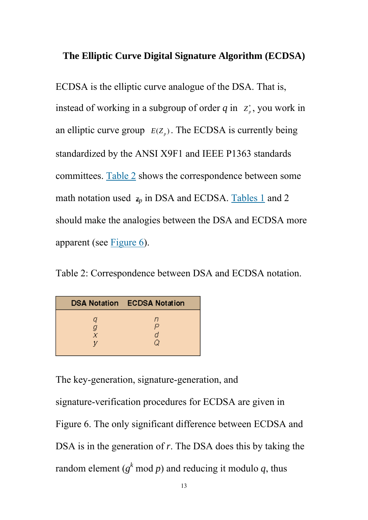### **The Elliptic Curve Digital Signature Algorithm (ECDSA)**

ECDSA is the elliptic curve analogue of the DSA. That is, instead of working in a subgroup of order  $q$  in  $z_p^*$ , you work in an elliptic curve group  $E(Z_p)$ . The ECDSA is currently being standardized by the ANSI X9F1 and IEEE P1363 standards committees. Table 2 shows the correspondence between some math notation used  $\bar{z}_p$  in DSA and ECDSA. Tables 1 and 2 should make the analogies between the DSA and ECDSA more apparent (see Figure 6).

Table 2: Correspondence between DSA and ECDSA notation.

|             | <b>DSA Notation ECDSA Notation</b> |
|-------------|------------------------------------|
| a<br>g<br>X | n<br>◡<br>d                        |
|             | ſJ                                 |

The key-generation, signature-generation, and

signature-verification procedures for ECDSA are given in Figure 6. The only significant difference between ECDSA and DSA is in the generation of *r*. The DSA does this by taking the random element ( $g^k$  mod *p*) and reducing it modulo *q*, thus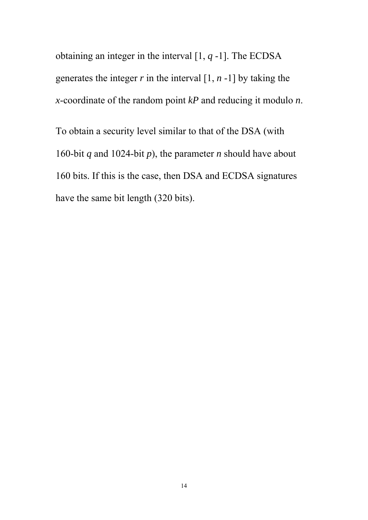obtaining an integer in the interval [1, *q* -1]. The ECDSA generates the integer  $r$  in the interval  $[1, n-1]$  by taking the *x*-coordinate of the random point *kP* and reducing it modulo *n*.

To obtain a security level similar to that of the DSA (with 160-bit *q* and 1024-bit *p*), the parameter *n* should have about 160 bits. If this is the case, then DSA and ECDSA signatures have the same bit length (320 bits).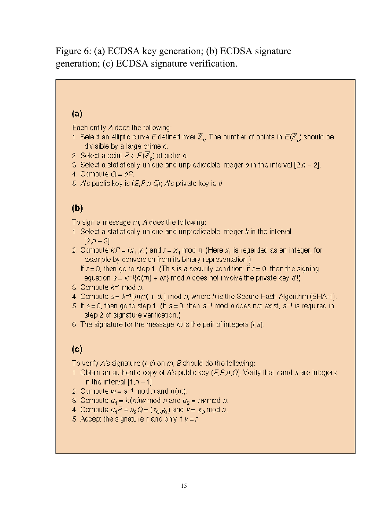Figure 6: (a) ECDSA key generation; (b) ECDSA signature generation; (c) ECDSA signature verification.

### $(a)$

Each entity A does the following:

- 1. Select an elliptic curve E defined over  $\mathbb{Z}_p$ . The number of points in  $E(\mathbb{Z}_p)$  should be divisible by a large prime  $n$ .
- 2. Select a point  $P \in E(\mathbb{Z}_p)$  of order n.
- 3. Select a statistically unique and unpredictable integer d in the interval  $[2, n-2]$ .
- 4. Compute  $Q = dP$ .
- 5. A's public key is  $(E, P, n, Q)$ ; A's private key is d.

# $(b)$

To sign a message  $m$ , A does the following:

- 1. Select a statistically unique and unpredictable integer  $k$  in the interval  $[2, n-2]$ .
- 2. Compute  $kP = (x_1, y_1)$  and  $r = x_1$  mod n. (Here  $x_1$  is regarded as an integer, for example by conversion from its binary representation.)
	- If  $r = 0$ , then go to step 1. (This is a security condition: if  $r = 0$ , then the signing equation  $s = k^{-1}{h(m)} + dr$  mod n does not involve the private key d!)
- 3. Compute  $k^{-1}$  mod n.
- 4. Compute  $s = k^{-1}{h(m) + dr}$  mod n, where h is the Secure Hash Algorithm (SHA-1).
- 5. If  $s = 0$ , then go to step 1. (If  $s = 0$ , then  $s^{-1}$  mod *n* does not exist;  $s^{-1}$  is required in step 2 of signature verification.)
- 6. The signature for the message m is the pair of integers  $(r, s)$ .

# $(c)$

To verify A's signature  $(r, s)$  on m, B should do the following:

- 1. Obtain an authentic copy of A's public key  $(E, P, n, Q)$ . Verify that r and s are integers in the interval  $[1, p-1]$ .
- 2. Compute  $w = s^{-1} \mod n$  and  $h(m)$ .
- 3. Compute  $u_1 = h(m)$  w mod n and  $u_2 = rw$  mod n.
- 4. Compute  $u_1P + u_2Q = (x_0,y_0)$  and  $v = x_0 \mod n$ .
- 5. Accept the signature if and only if  $v = r$ .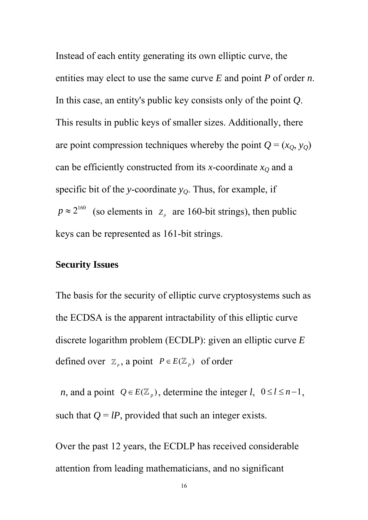Instead of each entity generating its own elliptic curve, the entities may elect to use the same curve *E* and point *P* of order *n*. In this case, an entity's public key consists only of the point *Q*. This results in public keys of smaller sizes. Additionally, there are point compression techniques whereby the point  $Q = (x_Q, y_Q)$ can be efficiently constructed from its *x*-coordinate  $x_Q$  and a specific bit of the *y*-coordinate  $y<sub>O</sub>$ . Thus, for example, if  $p \approx 2^{160}$  (so elements in  $Z_p$  are 160-bit strings), then public keys can be represented as 161-bit strings.

### **Security Issues**

The basis for the security of elliptic curve cryptosystems such as the ECDSA is the apparent intractability of this elliptic curve discrete logarithm problem (ECDLP): given an elliptic curve *E* defined over  $\mathbb{Z}_p$ , a point  $P \in E(\mathbb{Z}_p)$  of order

*n*, and a point  $Q \in E(\mathbb{Z}_p)$ , determine the integer *l*,  $0 \le l \le n-1$ , such that  $Q = lP$ , provided that such an integer exists.

Over the past 12 years, the ECDLP has received considerable attention from leading mathematicians, and no significant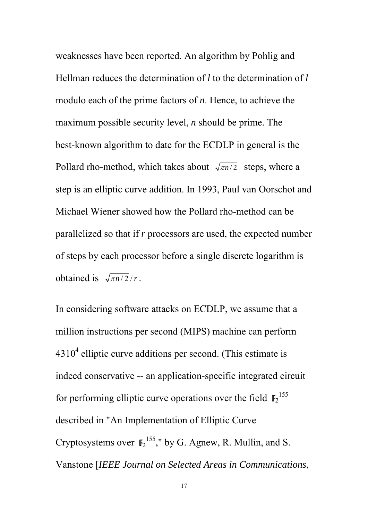weaknesses have been reported. An algorithm by Pohlig and Hellman reduces the determination of *l* to the determination of *l* modulo each of the prime factors of *n*. Hence, to achieve the maximum possible security level, *n* should be prime. The best-known algorithm to date for the ECDLP in general is the Pollard rho-method, which takes about  $\sqrt{\pi n/2}$  steps, where a step is an elliptic curve addition. In 1993, Paul van Oorschot and Michael Wiener showed how the Pollard rho-method can be parallelized so that if *r* processors are used, the expected number of steps by each processor before a single discrete logarithm is obtained is  $\sqrt{\pi n/2}/r$ .

In considering software attacks on ECDLP, we assume that a million instructions per second (MIPS) machine can perform  $4310<sup>4</sup>$  elliptic curve additions per second. (This estimate is indeed conservative -- an application-specific integrated circuit for performing elliptic curve operations over the field  $\mathbf{F}_2^{155}$ described in "An Implementation of Elliptic Curve Cryptosystems over  $\mathbb{F}_2^{155}$ ," by G. Agnew, R. Mullin, and S. Vanstone [*IEEE Journal on Selected Areas in Communications*,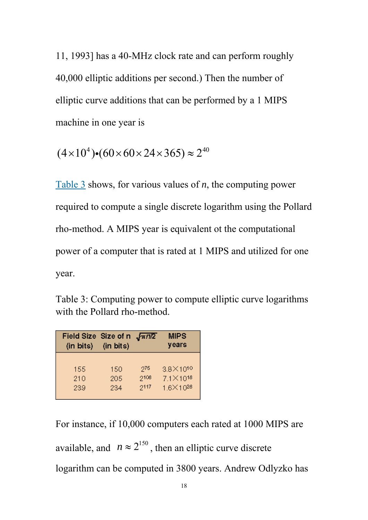11, 1993] has a 40-MHz clock rate and can perform roughly 40,000 elliptic additions per second.) Then the number of elliptic curve additions that can be performed by a 1 MIPS machine in one year is

$$
(4 \times 10^4) \cdot (60 \times 60 \times 24 \times 365) \approx 2^{40}
$$

Table 3 shows, for various values of *n*, the computing power required to compute a single discrete logarithm using the Pollard rho-method. A MIPS year is equivalent ot the computational power of a computer that is rated at 1 MIPS and utilized for one year.

Table 3: Computing power to compute elliptic curve logarithms with the Pollard rho-method.

| Field Size Size of n<br>(in bits) | (in bits) | $\sqrt{\pi n/2}$ | <b>MIPS</b><br>years |
|-----------------------------------|-----------|------------------|----------------------|
| 155                               | 150       | 976              | $3.8 \times 10^{10}$ |
| 210                               | 205       | 2108             | $7.1 \times 10^{18}$ |
| 239                               | 234       | 2117             | 1.6×1028             |

For instance, if 10,000 computers each rated at 1000 MIPS are available, and  $n \approx 2^{150}$ , then an elliptic curve discrete logarithm can be computed in 3800 years. Andrew Odlyzko has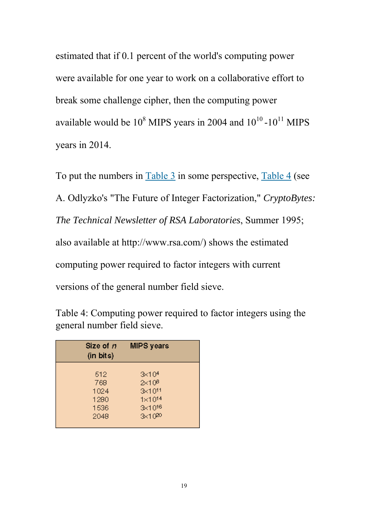estimated that if 0.1 percent of the world's computing power were available for one year to work on a collaborative effort to break some challenge cipher, then the computing power available would be  $10^8$  MIPS years in 2004 and  $10^{10}$  - $10^{11}$  MIPS years in 2014.

To put the numbers in  $Table 3$  in some perspective,  $Table 4$  (see A. Odlyzko's "The Future of Integer Factorization," *CryptoBytes: The Technical Newsletter of RSA Laboratories*, Summer 1995; also available at http://www.rsa.com/) shows the estimated computing power required to factor integers with current versions of the general number field sieve.

| Table 4: Computing power required to factor integers using the |  |  |
|----------------------------------------------------------------|--|--|
| general number field sieve.                                    |  |  |

| Size of $n$<br>(in bits) | <b>MIPS</b> years  |
|--------------------------|--------------------|
| 512                      | $3 \times 10^{4}$  |
| 768                      | 2x10 <sup>8</sup>  |
| 1024                     | $3x10^{11}$        |
| 1280                     | $1 \times 10^{14}$ |
| 1536                     | $3x10^{16}$        |
| 2048                     | $3x10^{20}$        |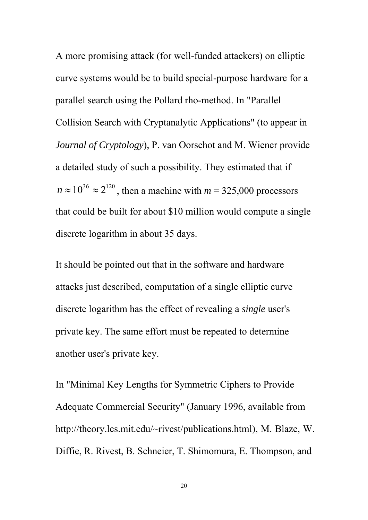A more promising attack (for well-funded attackers) on elliptic curve systems would be to build special-purpose hardware for a parallel search using the Pollard rho-method. In "Parallel Collision Search with Cryptanalytic Applications" (to appear in *Journal of Cryptology*), P. van Oorschot and M. Wiener provide a detailed study of such a possibility. They estimated that if  $n \approx 10^{36} \approx 2^{120}$ , then a machine with  $m = 325,000$  processors that could be built for about \$10 million would compute a single discrete logarithm in about 35 days.

It should be pointed out that in the software and hardware attacks just described, computation of a single elliptic curve discrete logarithm has the effect of revealing a *single* user's private key. The same effort must be repeated to determine another user's private key.

In "Minimal Key Lengths for Symmetric Ciphers to Provide Adequate Commercial Security" (January 1996, available from http://theory.lcs.mit.edu/~rivest/publications.html), M. Blaze, W. Diffie, R. Rivest, B. Schneier, T. Shimomura, E. Thompson, and

20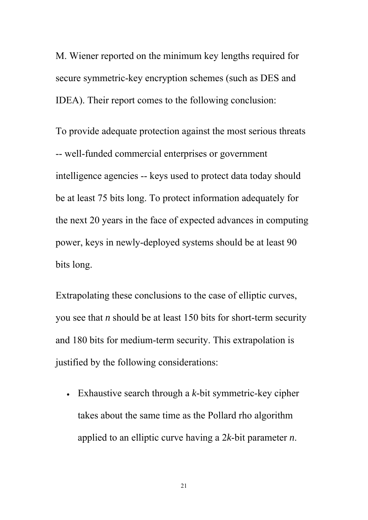M. Wiener reported on the minimum key lengths required for secure symmetric-key encryption schemes (such as DES and IDEA). Their report comes to the following conclusion:

To provide adequate protection against the most serious threats -- well-funded commercial enterprises or government intelligence agencies -- keys used to protect data today should be at least 75 bits long. To protect information adequately for the next 20 years in the face of expected advances in computing power, keys in newly-deployed systems should be at least 90 bits long.

Extrapolating these conclusions to the case of elliptic curves, you see that *n* should be at least 150 bits for short-term security and 180 bits for medium-term security. This extrapolation is justified by the following considerations:

• Exhaustive search through a *k*-bit symmetric-key cipher takes about the same time as the Pollard rho algorithm applied to an elliptic curve having a 2*k*-bit parameter *n*.

21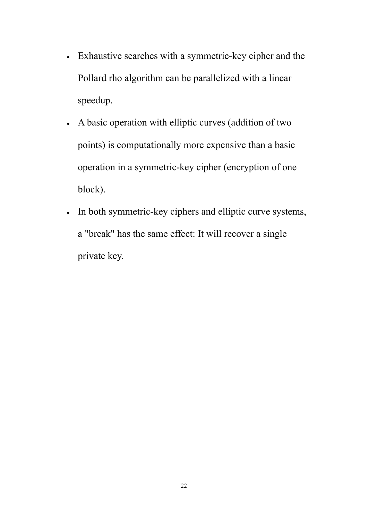- Exhaustive searches with a symmetric-key cipher and the Pollard rho algorithm can be parallelized with a linear speedup.
- A basic operation with elliptic curves (addition of two points) is computationally more expensive than a basic operation in a symmetric-key cipher (encryption of one block).
- In both symmetric-key ciphers and elliptic curve systems, a "break" has the same effect: It will recover a single private key.